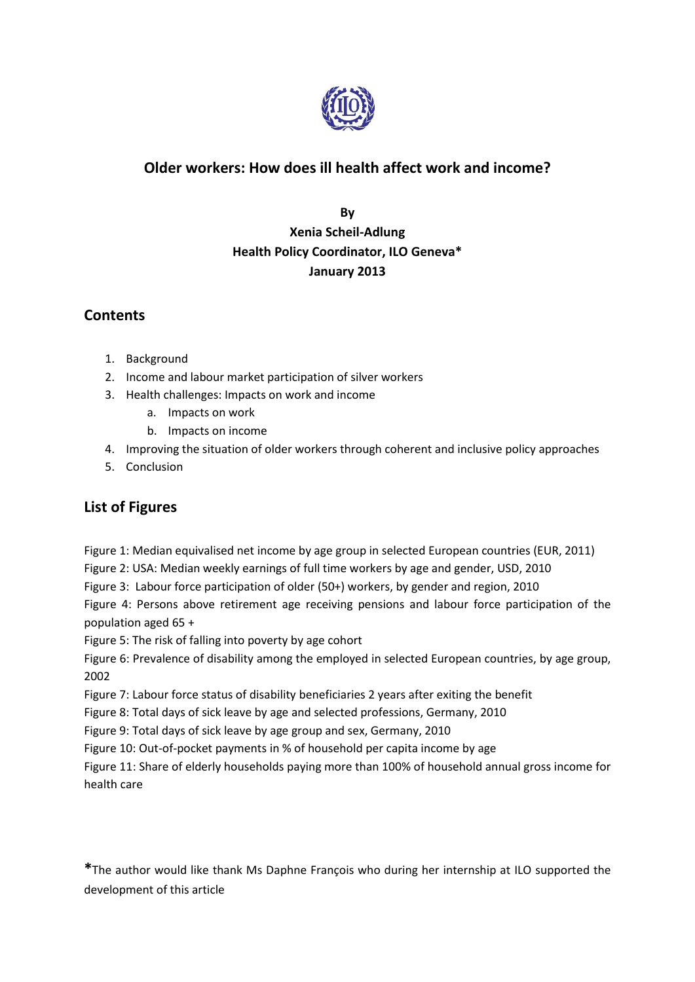

# **Older workers: How does ill health affect work and income?**

**By Xenia Scheil-Adlung Health Policy Coordinator, ILO Geneva\* January 2013**

# **Contents**

- 1. Background
- 2. Income and labour market participation of silver workers
- 3. Health challenges: Impacts on work and income
	- a. Impacts on work
	- b. Impacts on income
- 4. Improving the situation of older workers through coherent and inclusive policy approaches
- 5. Conclusion

## **List of Figures**

Figure 1: Median equivalised net income by age group in selected European countries (EUR, 2011)

Figure 2: USA: Median weekly earnings of full time workers by age and gender, USD, 2010

Figure 3: Labour force participation of older (50+) workers, by gender and region, 2010

Figure 4: Persons above retirement age receiving pensions and labour force participation of the population aged 65 +

Figure 5: The risk of falling into poverty by age cohort

Figure 6: Prevalence of disability among the employed in selected European countries, by age group, 2002

Figure 7: Labour force status of disability beneficiaries 2 years after exiting the benefit

Figure 8: Total days of sick leave by age and selected professions, Germany, 2010

Figure 9: Total days of sick leave by age group and sex, Germany, 2010

Figure 10: Out-of-pocket payments in % of household per capita income by age

Figure 11: Share of elderly households paying more than 100% of household annual gross income for health care

**\***The author would like thank Ms Daphne François who during her internship at ILO supported the development of this article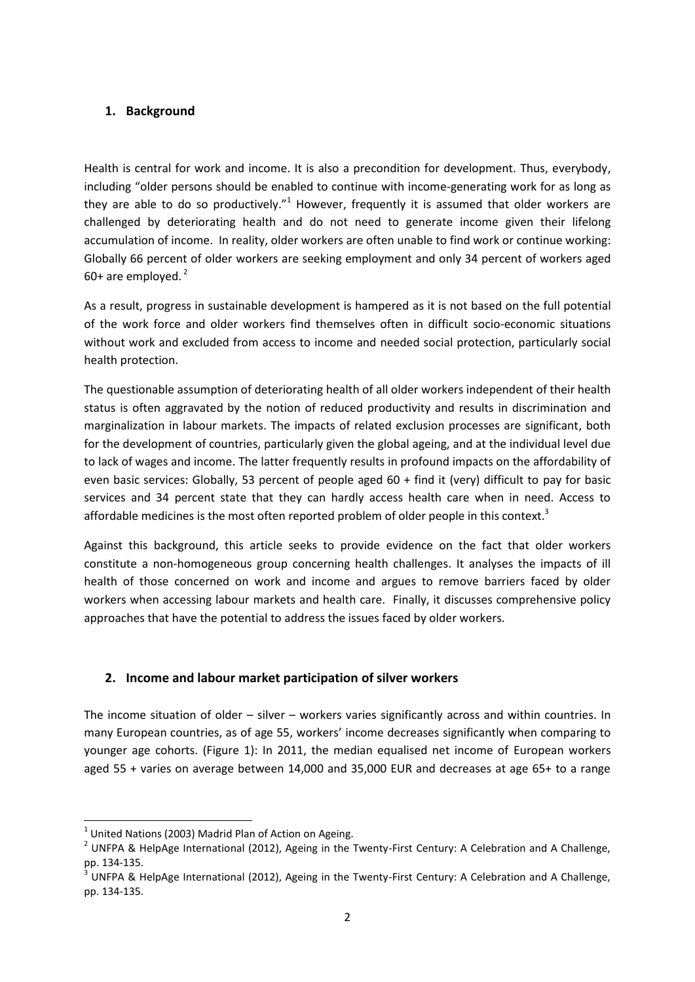#### **1. Background**

Health is central for work and income. It is also a precondition for development. Thus, everybody, including "older persons should be enabled to continue with income-generating work for as long as they are able to do so productively."<sup>1</sup> However, frequently it is assumed that older workers are challenged by deteriorating health and do not need to generate income given their lifelong accumulation of income. In reality, older workers are often unable to find work or continue working: Globally 66 percent of older workers are seeking employment and only 34 percent of workers aged 60+ are employed. $2$ 

As a result, progress in sustainable development is hampered as it is not based on the full potential of the work force and older workers find themselves often in difficult socio-economic situations without work and excluded from access to income and needed social protection, particularly social health protection.

The questionable assumption of deteriorating health of all older workers independent of their health status is often aggravated by the notion of reduced productivity and results in discrimination and marginalization in labour markets. The impacts of related exclusion processes are significant, both for the development of countries, particularly given the global ageing, and at the individual level due to lack of wages and income. The latter frequently results in profound impacts on the affordability of even basic services: Globally, 53 percent of people aged 60 + find it (very) difficult to pay for basic services and 34 percent state that they can hardly access health care when in need. Access to affordable medicines is the most often reported problem of older people in this context.<sup>3</sup>

Against this background, this article seeks to provide evidence on the fact that older workers constitute a non-homogeneous group concerning health challenges. It analyses the impacts of ill health of those concerned on work and income and argues to remove barriers faced by older workers when accessing labour markets and health care. Finally, it discusses comprehensive policy approaches that have the potential to address the issues faced by older workers.

## **2. Income and labour market participation of silver workers**

The income situation of older – silver – workers varies significantly across and within countries. In many European countries, as of age 55, workers' income decreases significantly when comparing to younger age cohorts. (Figure 1): In 2011, the median equalised net income of European workers aged 55 + varies on average between 14,000 and 35,000 EUR and decreases at age 65+ to a range

 $\overline{a}$ 

 $<sup>1</sup>$  United Nations (2003) Madrid Plan of Action on Ageing.</sup>

<sup>&</sup>lt;sup>2</sup> UNFPA & HelpAge International (2012), Ageing in the Twenty-First Century: A Celebration and A Challenge, pp. 134-135.

<sup>3</sup> UNFPA & HelpAge International (2012), Ageing in the Twenty-First Century: A Celebration and A Challenge, pp. 134-135.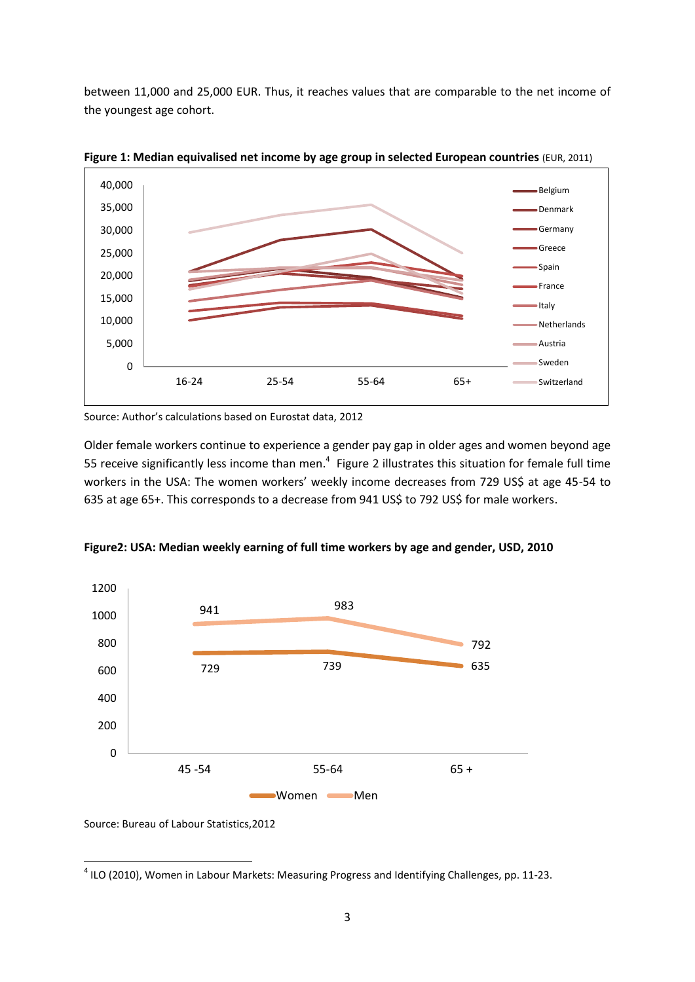between 11,000 and 25,000 EUR. Thus, it reaches values that are comparable to the net income of the youngest age cohort.



**Figure 1: Median equivalised net income by age group in selected European countries** (EUR, 2011)

Source: Author's calculations based on Eurostat data, 2012

Older female workers continue to experience a gender pay gap in older ages and women beyond age 55 receive significantly less income than men. $4$  Figure 2 illustrates this situation for female full time workers in the USA: The women workers' weekly income decreases from 729 US\$ at age 45-54 to 635 at age 65+. This corresponds to a decrease from 941 US\$ to 792 US\$ for male workers.



**Figure2: USA: Median weekly earning of full time workers by age and gender, USD, 2010**

Source: Bureau of Labour Statistics,2012

1

 $<sup>4</sup>$  ILO (2010), Women in Labour Markets: Measuring Progress and Identifying Challenges, pp. 11-23.</sup>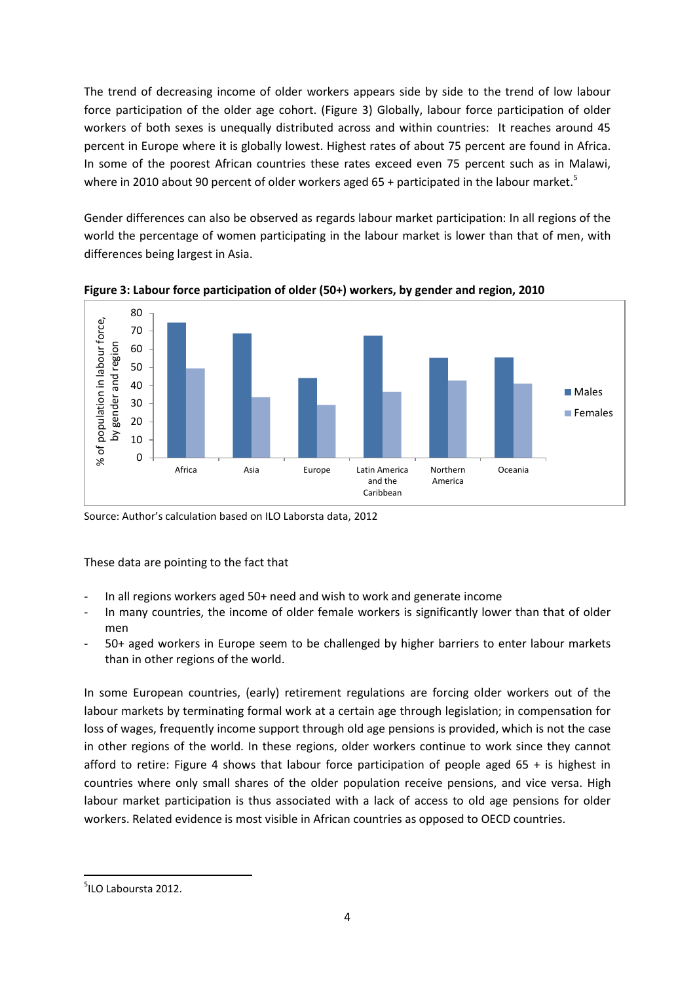The trend of decreasing income of older workers appears side by side to the trend of low labour force participation of the older age cohort. (Figure 3) Globally, labour force participation of older workers of both sexes is unequally distributed across and within countries: It reaches around 45 percent in Europe where it is globally lowest. Highest rates of about 75 percent are found in Africa. In some of the poorest African countries these rates exceed even 75 percent such as in Malawi, where in 2010 about 90 percent of older workers aged 65 + participated in the labour market.<sup>5</sup>

Gender differences can also be observed as regards labour market participation: In all regions of the world the percentage of women participating in the labour market is lower than that of men, with differences being largest in Asia.



**Figure 3: Labour force participation of older (50+) workers, by gender and region, 2010**

Source: Author's calculation based on ILO Laborsta data, 2012

These data are pointing to the fact that

- In all regions workers aged 50+ need and wish to work and generate income
- In many countries, the income of older female workers is significantly lower than that of older men
- 50+ aged workers in Europe seem to be challenged by higher barriers to enter labour markets than in other regions of the world.

In some European countries, (early) retirement regulations are forcing older workers out of the labour markets by terminating formal work at a certain age through legislation; in compensation for loss of wages, frequently income support through old age pensions is provided, which is not the case in other regions of the world. In these regions, older workers continue to work since they cannot afford to retire: Figure 4 shows that labour force participation of people aged  $65 +$  is highest in countries where only small shares of the older population receive pensions, and vice versa. High labour market participation is thus associated with a lack of access to old age pensions for older workers. Related evidence is most visible in African countries as opposed to OECD countries.

**<sup>.</sup>** 5 ILO Laboursta 2012.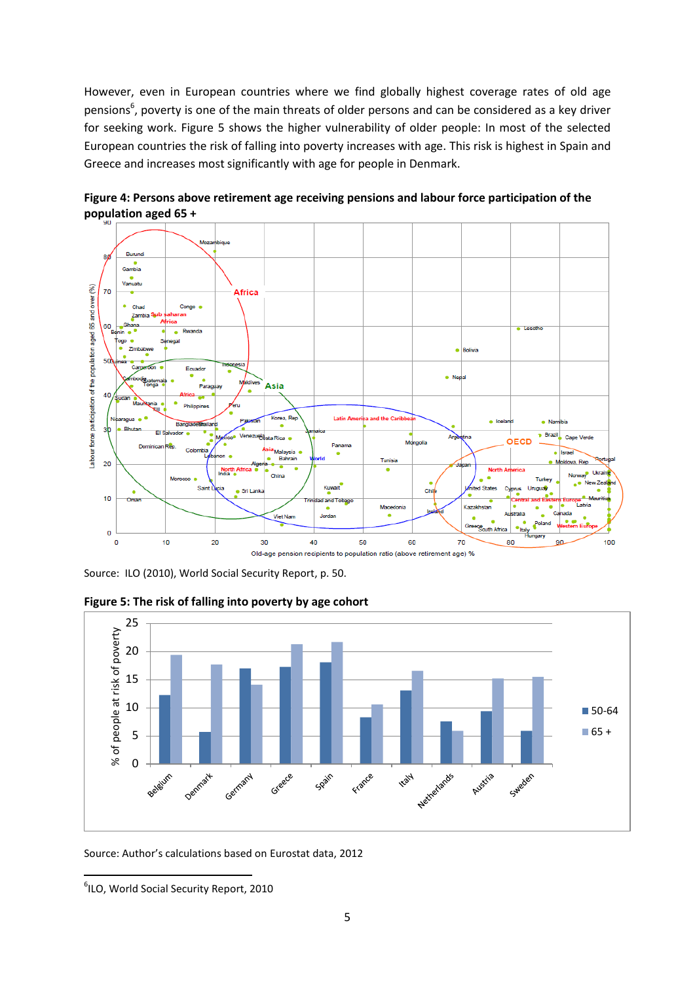However, even in European countries where we find globally highest coverage rates of old age pensions<sup>6</sup>, poverty is one of the main threats of older persons and can be considered as a key driver for seeking work. Figure 5 shows the higher vulnerability of older people: In most of the selected European countries the risk of falling into poverty increases with age. This risk is highest in Spain and Greece and increases most significantly with age for people in Denmark.



**Figure 4: Persons above retirement age receiving pensions and labour force participation of the population aged 65 +**

Source: ILO (2010), World Social Security Report, p. 50.



**Figure 5: The risk of falling into poverty by age cohort**

Source: Author's calculations based on Eurostat data, 2012

**.** 

<sup>6</sup> ILO, World Social Security Report, 2010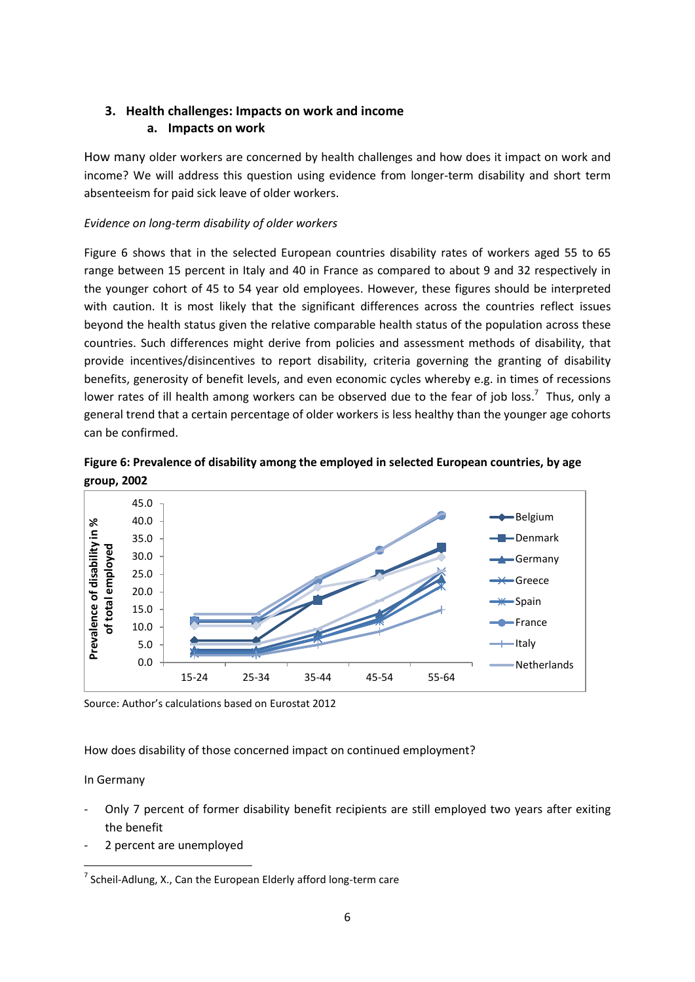## **3. Health challenges: Impacts on work and income a. Impacts on work**

How many older workers are concerned by health challenges and how does it impact on work and income? We will address this question using evidence from longer-term disability and short term absenteeism for paid sick leave of older workers.

#### *Evidence on long-term disability of older workers*

Figure 6 shows that in the selected European countries disability rates of workers aged 55 to 65 range between 15 percent in Italy and 40 in France as compared to about 9 and 32 respectively in the younger cohort of 45 to 54 year old employees. However, these figures should be interpreted with caution. It is most likely that the significant differences across the countries reflect issues beyond the health status given the relative comparable health status of the population across these countries. Such differences might derive from policies and assessment methods of disability, that provide incentives/disincentives to report disability, criteria governing the granting of disability benefits, generosity of benefit levels, and even economic cycles whereby e.g. in times of recessions lower rates of ill health among workers can be observed due to the fear of job loss.<sup>7</sup> Thus, only a general trend that a certain percentage of older workers is less healthy than the younger age cohorts can be confirmed.





Source: Author's calculations based on Eurostat 2012

How does disability of those concerned impact on continued employment?

## In Germany

- Only 7 percent of former disability benefit recipients are still employed two years after exiting the benefit
- 2 percent are unemployed

<sup>1</sup>  $^7$  Scheil-Adlung, X., Can the European Elderly afford long-term care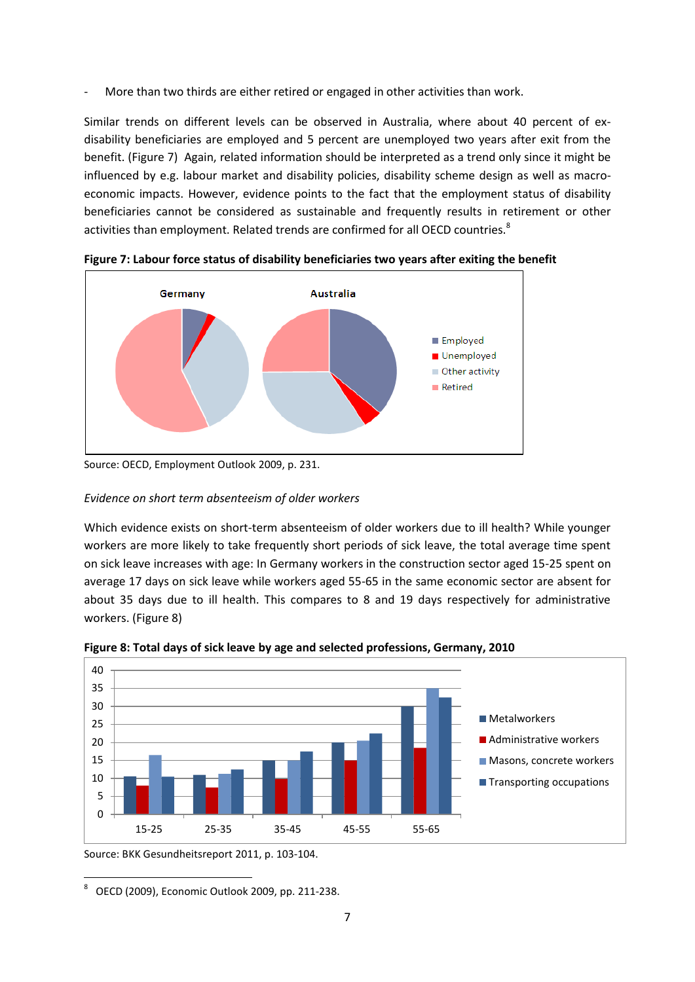More than two thirds are either retired or engaged in other activities than work.

Similar trends on different levels can be observed in Australia, where about 40 percent of exdisability beneficiaries are employed and 5 percent are unemployed two years after exit from the benefit. (Figure 7) Again, related information should be interpreted as a trend only since it might be influenced by e.g. labour market and disability policies, disability scheme design as well as macroeconomic impacts. However, evidence points to the fact that the employment status of disability beneficiaries cannot be considered as sustainable and frequently results in retirement or other activities than employment. Related trends are confirmed for all OECD countries.<sup>8</sup>



**Figure 7: Labour force status of disability beneficiaries two years after exiting the benefit**

#### *Evidence on short term absenteeism of older workers*

Which evidence exists on short-term absenteeism of older workers due to ill health? While younger workers are more likely to take frequently short periods of sick leave, the total average time spent on sick leave increases with age: In Germany workers in the construction sector aged 15-25 spent on average 17 days on sick leave while workers aged 55-65 in the same economic sector are absent for about 35 days due to ill health. This compares to 8 and 19 days respectively for administrative workers. (Figure 8)



**Figure 8: Total days of sick leave by age and selected professions, Germany, 2010**

Source: BKK Gesundheitsreport 2011, p. 103-104.

**.** 8 OECD (2009), Economic Outlook 2009, pp. 211-238.

Source: OECD, Employment Outlook 2009, p. 231.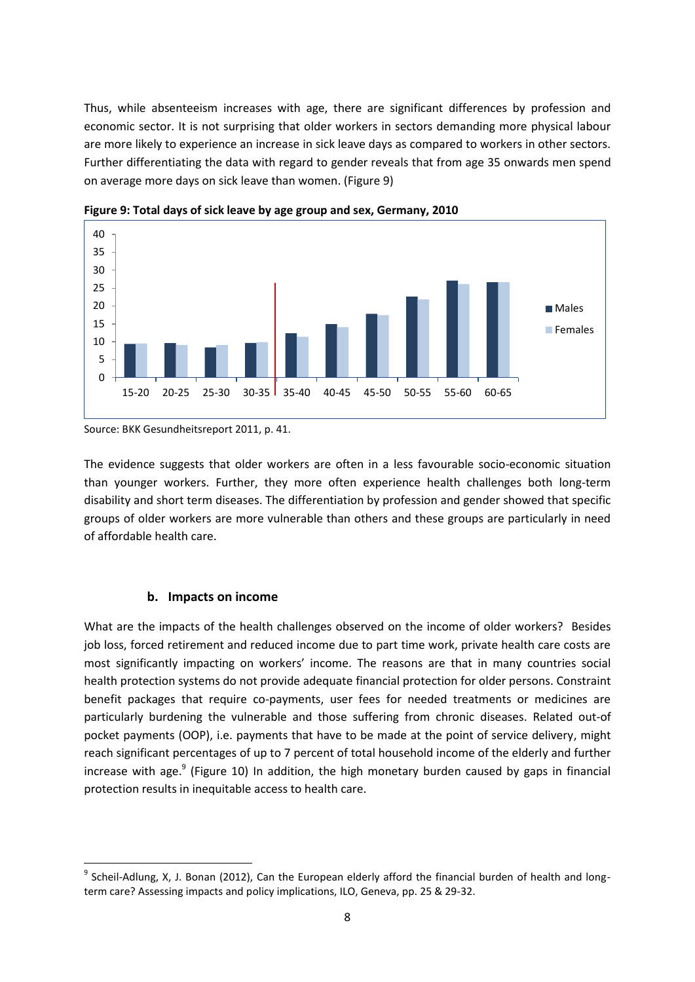Thus, while absenteeism increases with age, there are significant differences by profession and economic sector. It is not surprising that older workers in sectors demanding more physical labour are more likely to experience an increase in sick leave days as compared to workers in other sectors. Further differentiating the data with regard to gender reveals that from age 35 onwards men spend on average more days on sick leave than women. (Figure 9)



**Figure 9: Total days of sick leave by age group and sex, Germany, 2010**

Source: BKK Gesundheitsreport 2011, p. 41.

The evidence suggests that older workers are often in a less favourable socio-economic situation than younger workers. Further, they more often experience health challenges both long-term disability and short term diseases. The differentiation by profession and gender showed that specific groups of older workers are more vulnerable than others and these groups are particularly in need of affordable health care.

#### **b. Impacts on income**

1

What are the impacts of the health challenges observed on the income of older workers? Besides job loss, forced retirement and reduced income due to part time work, private health care costs are most significantly impacting on workers' income. The reasons are that in many countries social health protection systems do not provide adequate financial protection for older persons. Constraint benefit packages that require co-payments, user fees for needed treatments or medicines are particularly burdening the vulnerable and those suffering from chronic diseases. Related out-of pocket payments (OOP), i.e. payments that have to be made at the point of service delivery, might reach significant percentages of up to 7 percent of total household income of the elderly and further increase with age.<sup>9</sup> (Figure 10) In addition, the high monetary burden caused by gaps in financial protection results in inequitable access to health care.

<sup>&</sup>lt;sup>9</sup> Scheil-Adlung, X, J. Bonan (2012), Can the European elderly afford the financial burden of health and longterm care? Assessing impacts and policy implications, ILO, Geneva, pp. 25 & 29-32.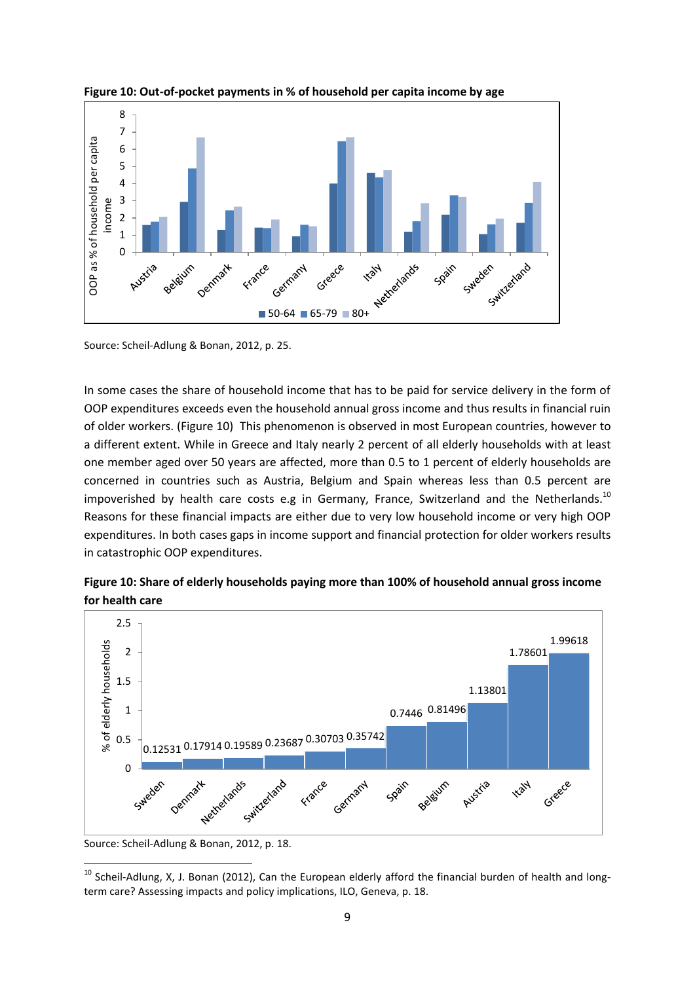

**Figure 10: Out-of-pocket payments in % of household per capita income by age** 

Source: Scheil-Adlung & Bonan, 2012, p. 25.

In some cases the share of household income that has to be paid for service delivery in the form of OOP expenditures exceeds even the household annual gross income and thus results in financial ruin of older workers. (Figure 10) This phenomenon is observed in most European countries, however to a different extent. While in Greece and Italy nearly 2 percent of all elderly households with at least one member aged over 50 years are affected, more than 0.5 to 1 percent of elderly households are concerned in countries such as Austria, Belgium and Spain whereas less than 0.5 percent are impoverished by health care costs e.g in Germany, France, Switzerland and the Netherlands.<sup>10</sup> Reasons for these financial impacts are either due to very low household income or very high OOP expenditures. In both cases gaps in income support and financial protection for older workers results in catastrophic OOP expenditures.

**Figure 10: Share of elderly households paying more than 100% of household annual gross income for health care** 



Source: Scheil-Adlung & Bonan, 2012, p. 18.

1

 $^{10}$  Scheil-Adlung, X, J. Bonan (2012), Can the European elderly afford the financial burden of health and longterm care? Assessing impacts and policy implications, ILO, Geneva, p. 18.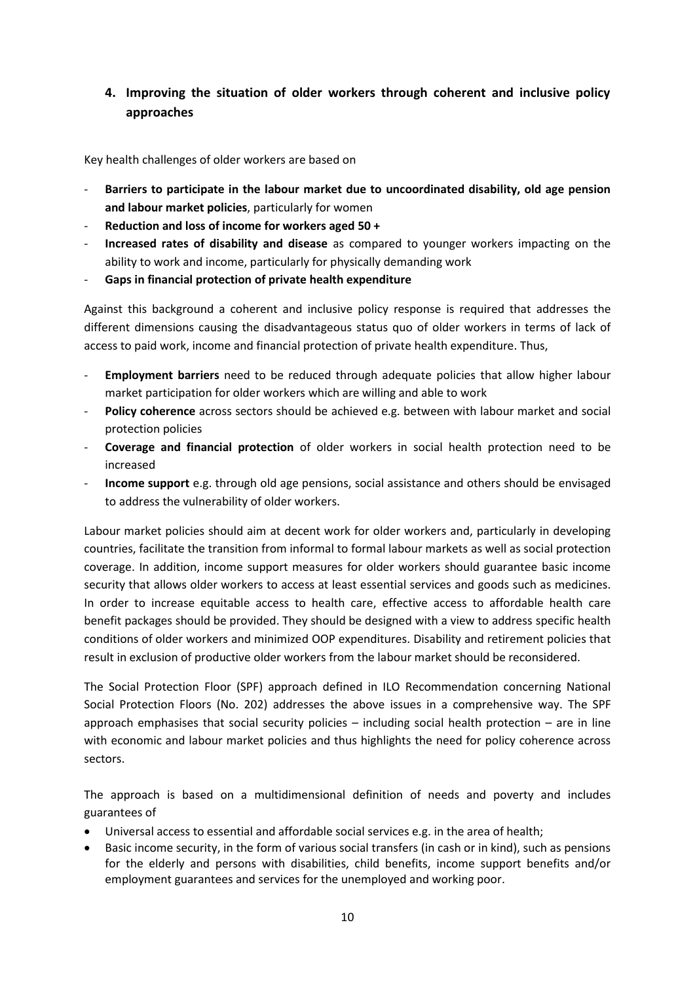## **4. Improving the situation of older workers through coherent and inclusive policy approaches**

Key health challenges of older workers are based on

- **Barriers to participate in the labour market due to uncoordinated disability, old age pension and labour market policies**, particularly for women
- **Reduction and loss of income for workers aged 50 +**
- **Increased rates of disability and disease** as compared to younger workers impacting on the ability to work and income, particularly for physically demanding work
- **Gaps in financial protection of private health expenditure**

Against this background a coherent and inclusive policy response is required that addresses the different dimensions causing the disadvantageous status quo of older workers in terms of lack of access to paid work, income and financial protection of private health expenditure. Thus,

- Employment barriers need to be reduced through adequate policies that allow higher labour market participation for older workers which are willing and able to work
- Policy coherence across sectors should be achieved e.g. between with labour market and social protection policies
- **Coverage and financial protection** of older workers in social health protection need to be increased
- **Income support** e.g. through old age pensions, social assistance and others should be envisaged to address the vulnerability of older workers.

Labour market policies should aim at decent work for older workers and, particularly in developing countries, facilitate the transition from informal to formal labour markets as well as social protection coverage. In addition, income support measures for older workers should guarantee basic income security that allows older workers to access at least essential services and goods such as medicines. In order to increase equitable access to health care, effective access to affordable health care benefit packages should be provided. They should be designed with a view to address specific health conditions of older workers and minimized OOP expenditures. Disability and retirement policies that result in exclusion of productive older workers from the labour market should be reconsidered.

The Social Protection Floor (SPF) approach defined in ILO Recommendation concerning National Social Protection Floors (No. 202) addresses the above issues in a comprehensive way. The SPF approach emphasises that social security policies  $-$  including social health protection  $-$  are in line with economic and labour market policies and thus highlights the need for policy coherence across sectors.

The approach is based on a multidimensional definition of needs and poverty and includes guarantees of

- Universal access to essential and affordable social services e.g. in the area of health;
- Basic income security, in the form of various social transfers (in cash or in kind), such as pensions for the elderly and persons with disabilities, child benefits, income support benefits and/or employment guarantees and services for the unemployed and working poor.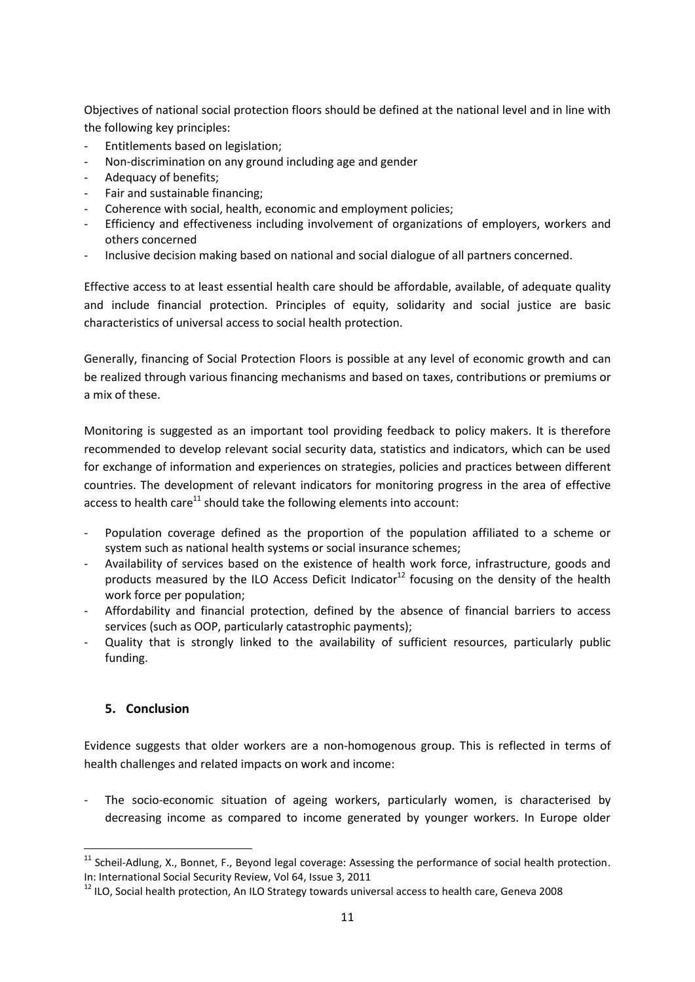Objectives of national social protection floors should be defined at the national level and in line with the following key principles:

- Entitlements based on legislation;
- Non-discrimination on any ground including age and gender
- Adequacy of benefits:
- Fair and sustainable financing:
- Coherence with social, health, economic and employment policies;
- Efficiency and effectiveness including involvement of organizations of employers, workers and others concerned
- Inclusive decision making based on national and social dialogue of all partners concerned.

Effective access to at least essential health care should be affordable, available, of adequate quality and include financial protection. Principles of equity, solidarity and social justice are basic characteristics of universal access to social health protection.

Generally, financing of Social Protection Floors is possible at any level of economic growth and can be realized through various financing mechanisms and based on taxes, contributions or premiums or a mix of these.

Monitoring is suggested as an important tool providing feedback to policy makers. It is therefore recommended to develop relevant social security data, statistics and indicators, which can be used for exchange of information and experiences on strategies, policies and practices between different countries. The development of relevant indicators for monitoring progress in the area of effective access to health care<sup>11</sup> should take the following elements into account:

- Population coverage defined as the proportion of the population affiliated to a scheme or system such as national health systems or social insurance schemes;
- Availability of services based on the existence of health work force, infrastructure, goods and products measured by the ILO Access Deficit Indicator<sup>12</sup> focusing on the density of the health work force per population;
- Affordability and financial protection, defined by the absence of financial barriers to access services (such as OOP, particularly catastrophic payments);
- Quality that is strongly linked to the availability of sufficient resources, particularly public funding.

## **5. Conclusion**

**.** 

Evidence suggests that older workers are a non-homogenous group. This is reflected in terms of health challenges and related impacts on work and income:

The socio-economic situation of ageing workers, particularly women, is characterised by decreasing income as compared to income generated by younger workers. In Europe older

 $11$  Scheil-Adlung, X., Bonnet, F., Beyond legal coverage: Assessing the performance of social health protection. In: International Social Security Review, Vol 64, Issue 3, 2011

<sup>&</sup>lt;sup>12</sup> ILO. Social health protection, An ILO Strategy towards universal access to health care, Geneva 2008